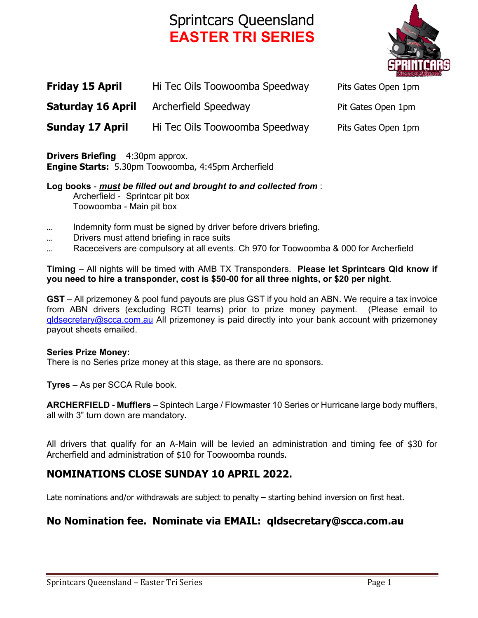# Sprintcars Queensland **EASTER TRI SERIES**



| <b>Friday 15 April</b>   | Hi Tec Oils Toowoomba Speedway | Pits Gates Open 1pm |
|--------------------------|--------------------------------|---------------------|
| <b>Saturday 16 April</b> | Archerfield Speedway           | Pit Gates Open 1pm  |
| <b>Sunday 17 April</b>   | Hi Tec Oils Toowoomba Speedway | Pits Gates Open 1pm |

**Drivers Briefing** 4:30pm approx. **Engine Starts:** 5.30pm Toowoomba, 4:45pm Archerfield

**Log books** - *must be filled out and brought to and collected from* : Archerfield - Sprintcar pit box Toowoomba - Main pit box

- Indemnity form must be signed by driver before drivers briefing.
- ... Drivers must attend briefing in race suits
- Raceceivers are compulsory at all events. Ch 970 for Toowoomba & 000 for Archerfield

**Timing** – All nights will be timed with AMB TX Transponders. **Please let Sprintcars Qld know if you need to hire a transponder, cost is \$50-00 for all three nights, or \$20 per night**.

**GST** – All prizemoney & pool fund payouts are plus GST if you hold an ABN. We require a tax invoice from ABN drivers (excluding RCTI teams) prior to prize money payment. (Please email to qldsecretary@scca.com.au All prizemoney is paid directly into your bank account with prizemoney payout sheets emailed.

#### **Series Prize Money:**

There is no Series prize money at this stage, as there are no sponsors.

**Tyres** – As per SCCA Rule book.

**ARCHERFIELD - Mufflers** – Spintech Large / Flowmaster 10 Series or Hurricane large body mufflers, all with 3" turn down are mandatory**.** 

All drivers that qualify for an A-Main will be levied an administration and timing fee of \$30 for Archerfield and administration of \$10 for Toowoomba rounds.

## **NOMINATIONS CLOSE SUNDAY 10 APRIL 2022.**

Late nominations and/or withdrawals are subject to penalty – starting behind inversion on first heat.

## **No Nomination fee. Nominate via EMAIL: qldsecretary@scca.com.au**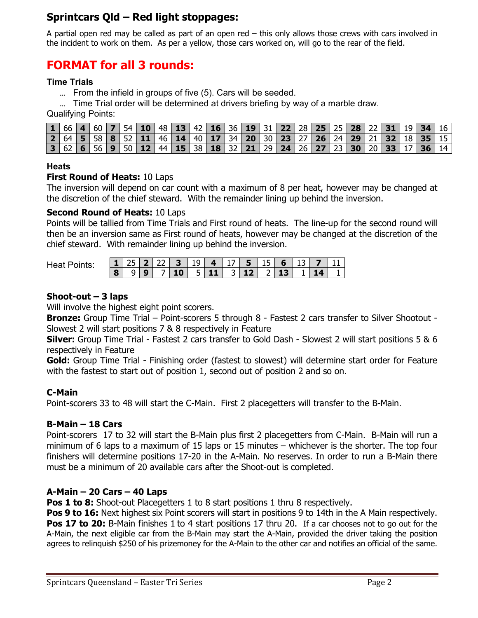# **Sprintcars Qld – Red light stoppages:**

A partial open red may be called as part of an open red – this only allows those crews with cars involved in the incident to work on them. As per a yellow, those cars worked on, will go to the rear of the field.

# **FORMAT for all 3 rounds:**

#### **Time Trials**

... From the infield in groups of five (5). Cars will be seeded.

... Time Trial order will be determined at drivers briefing by way of a marble draw.

Qualifying Points:

|  |  |  |  |  |  | 1   66   4   60   7   54   10   48   13   42   16   36   19   31   22   28   25   28   22   31   19   34   16      |  |  |  |  |  |  |
|--|--|--|--|--|--|--------------------------------------------------------------------------------------------------------------------|--|--|--|--|--|--|
|  |  |  |  |  |  | 2   64   5   58   8   52   11   46   14   40   17   34   20   30   23   27   26   24   29   21   32   18   35   15 |  |  |  |  |  |  |
|  |  |  |  |  |  | 3   62   6   56   9   50   12   44   15   38   18   32   21   29   24   26   27   23   30   20   33   17   36   14 |  |  |  |  |  |  |

#### **Heats**

#### **First Round of Heats:** 10 Laps

The inversion will depend on car count with a maximum of 8 per heat, however may be changed at the discretion of the chief steward. With the remainder lining up behind the inversion.

#### **Second Round of Heats:** 10 Laps

Points will be tallied from Time Trials and First round of heats. The line-up for the second round will then be an inversion same as First round of heats, however may be changed at the discretion of the chief steward. With remainder lining up behind the inversion.

Heat Points:

|  |  |  |  | <b>1</b> 25 <b>2</b> 22 <b>3</b> 19 <b>4</b> 17 <b>5</b> 15 <b>6</b> 13 <b>7</b> 11 |  |  |  |
|--|--|--|--|-------------------------------------------------------------------------------------|--|--|--|
|  |  |  |  | $8$   9   9   7   10   5   11   3   12   2   13   1   14   1                        |  |  |  |

#### **Shoot-out – 3 laps**

Will involve the highest eight point scorers.

**Bronze:** Group Time Trial – Point-scorers 5 through 8 - Fastest 2 cars transfer to Silver Shootout - Slowest 2 will start positions 7 & 8 respectively in Feature

**Silver:** Group Time Trial - Fastest 2 cars transfer to Gold Dash - Slowest 2 will start positions 5 & 6 respectively in Feature

**Gold:** Group Time Trial - Finishing order (fastest to slowest) will determine start order for Feature with the fastest to start out of position 1, second out of position 2 and so on.

#### **C-Main**

Point-scorers 33 to 48 will start the C-Main. First 2 placegetters will transfer to the B-Main.

#### **B-Main – 18 Cars**

Point-scorers 17 to 32 will start the B-Main plus first 2 placegetters from C-Main. B-Main will run a minimum of 6 laps to a maximum of 15 laps or 15 minutes – whichever is the shorter. The top four finishers will determine positions 17-20 in the A-Main. No reserves. In order to run a B-Main there must be a minimum of 20 available cars after the Shoot-out is completed.

#### **A-Main – 20 Cars – 40 Laps**

**Pos 1 to 8:** Shoot-out Placegetters 1 to 8 start positions 1 thru 8 respectively.

**Pos 9 to 16:** Next highest six Point scorers will start in positions 9 to 14th in the A Main respectively. **Pos 17 to 20:** B-Main finishes 1 to 4 start positions 17 thru 20. If a car chooses not to go out for the A-Main, the next eligible car from the B-Main may start the A-Main, provided the driver taking the position agrees to relinquish \$250 of his prizemoney for the A-Main to the other car and notifies an official of the same.